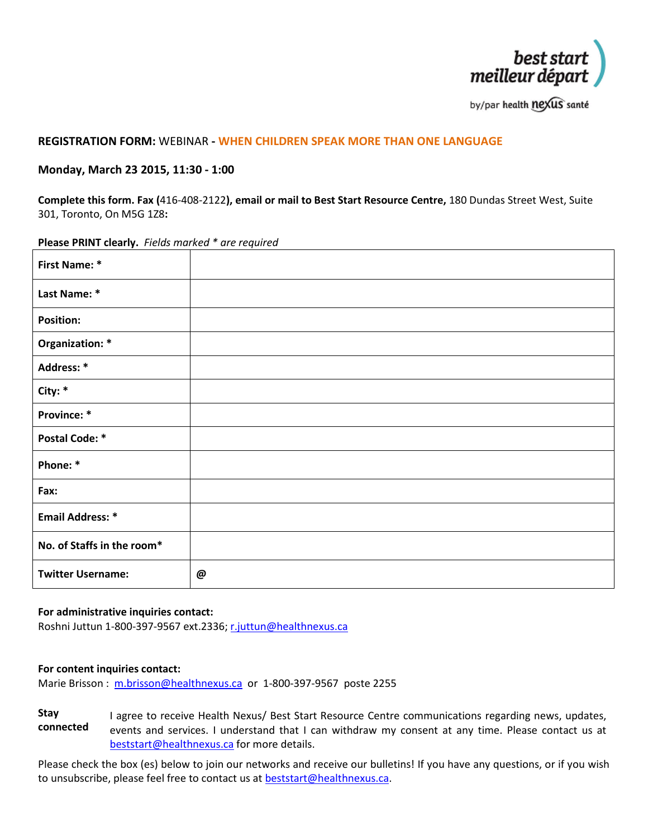

by/par health nexus santé

# **REGISTRATION FORM:** WEBINAR **- WHEN CHILDREN SPEAK MORE THAN ONE LANGUAGE**

## **Monday, March 23 2015, 11:30 - 1:00**

**Complete this form. Fax (**416-408-2122**), email or mail to Best Start Resource Centre,** 180 Dundas Street West, Suite 301, Toronto, On M5G 1Z8**:**

#### **Please PRINT clearly.** *Fields marked \* are required*

| <b>First Name: *</b>       |   |
|----------------------------|---|
| Last Name: *               |   |
| <b>Position:</b>           |   |
| Organization: *            |   |
| Address: *                 |   |
| City: *                    |   |
| Province: *                |   |
| <b>Postal Code: *</b>      |   |
| Phone: *                   |   |
| Fax:                       |   |
| <b>Email Address: *</b>    |   |
| No. of Staffs in the room* |   |
| <b>Twitter Username:</b>   | @ |

### **For administrative inquiries contact:**

Roshni Juttun 1-800-397-9567 ext.2336[; r.juttun@healthnexus.ca](mailto:r.juttun@healthnexus.ca)

#### **For content inquiries contact:**

Marie Brisson : [m.brisson@healthnexus.ca](mailto:m.brisson@healthnexus.ca) or 1-800-397-9567 poste 2255

**Stay connected** I agree to receive Health Nexus/ Best Start Resource Centre communications regarding news, updates, events and services. I understand that I can withdraw my consent at any time. Please contact us at [beststart@healthnexus.ca](mailto:beststart@healthnexus.ca) for more details.

Please check the box (es) below to join our networks and receive our bulletins! If you have any questions, or if you wish to unsubscribe, please feel free to contact us at **beststart@healthnexus.ca**.